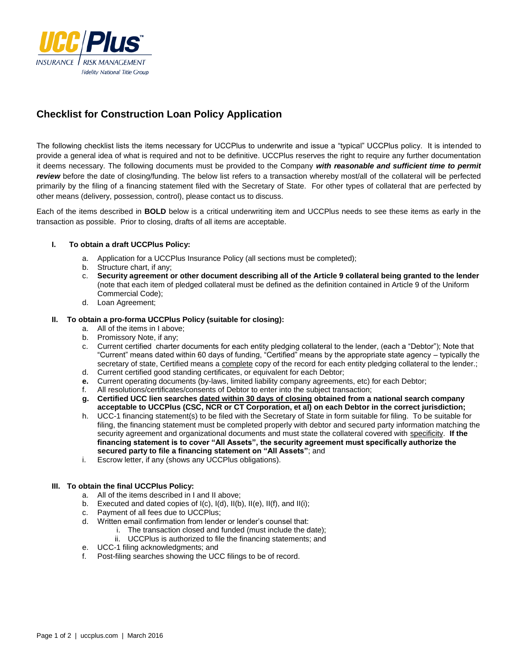

# **Checklist for Construction Loan Policy Application**

The following checklist lists the items necessary for UCCPlus to underwrite and issue a "typical" UCCPlus policy. It is intended to provide a general idea of what is required and not to be definitive. UCCPlus reserves the right to require any further documentation it deems necessary. The following documents must be provided to the Company *with reasonable and sufficient time to permit review* before the date of closing/funding. The below list refers to a transaction whereby most/all of the collateral will be perfected primarily by the filing of a financing statement filed with the Secretary of State. For other types of collateral that are perfected by other means (delivery, possession, control), please contact us to discuss.

Each of the items described in **BOLD** below is a critical underwriting item and UCCPlus needs to see these items as early in the transaction as possible. Prior to closing, drafts of all items are acceptable.

### **I. To obtain a draft UCCPlus Policy:**

- a. Application for a UCCPlus Insurance Policy (all sections must be completed);
- Structure chart, if any;
- c. **Security agreement or other document describing all of the Article 9 collateral being granted to the lender** (note that each item of pledged collateral must be defined as the definition contained in Article 9 of the Uniform Commercial Code);
- d. Loan Agreement;

#### **II. To obtain a pro-forma UCCPlus Policy (suitable for closing):**

- a. All of the items in I above;
- b. Promissory Note, if any;
- c. Current certified charter documents for each entity pledging collateral to the lender, (each a "Debtor"); Note that "Current" means dated within 60 days of funding, "Certified" means by the appropriate state agency – typically the secretary of state, Certified means a complete copy of the record for each entity pledging collateral to the lender.;
- d. Current certified good standing certificates, or equivalent for each Debtor;
- **e.** Current operating documents (by-laws, limited liability company agreements, etc) for each Debtor;
- f. All resolutions/certificates/consents of Debtor to enter into the subject transaction;
- **g. Certified UCC lien searches dated within 30 days of closing obtained from a national search company acceptable to UCCPlus (CSC, NCR or CT Corporation, et al) on each Debtor in the correct jurisdiction;**
- h. UCC-1 financing statement(s) to be filed with the Secretary of State in form suitable for filing. To be suitable for filing, the financing statement must be completed properly with debtor and secured party information matching the security agreement and organizational documents and must state the collateral covered with specificity. **If the financing statement is to cover "All Assets", the security agreement must specifically authorize the secured party to file a financing statement on "All Assets"**; and
- i. Escrow letter, if any (shows any UCCPlus obligations).

### **III. To obtain the final UCCPlus Policy:**

- a. All of the items described in I and II above;
- b. Executed and dated copies of I(c), I(d), II(b), II(e), II(f), and II(i);
- c. Payment of all fees due to UCCPlus;
- d. Written email confirmation from lender or lender's counsel that:
	- i. The transaction closed and funded (must include the date);
	- ii. UCCPlus is authorized to file the financing statements; and
- e. UCC-1 filing acknowledgments; and
- f. Post-filing searches showing the UCC filings to be of record.